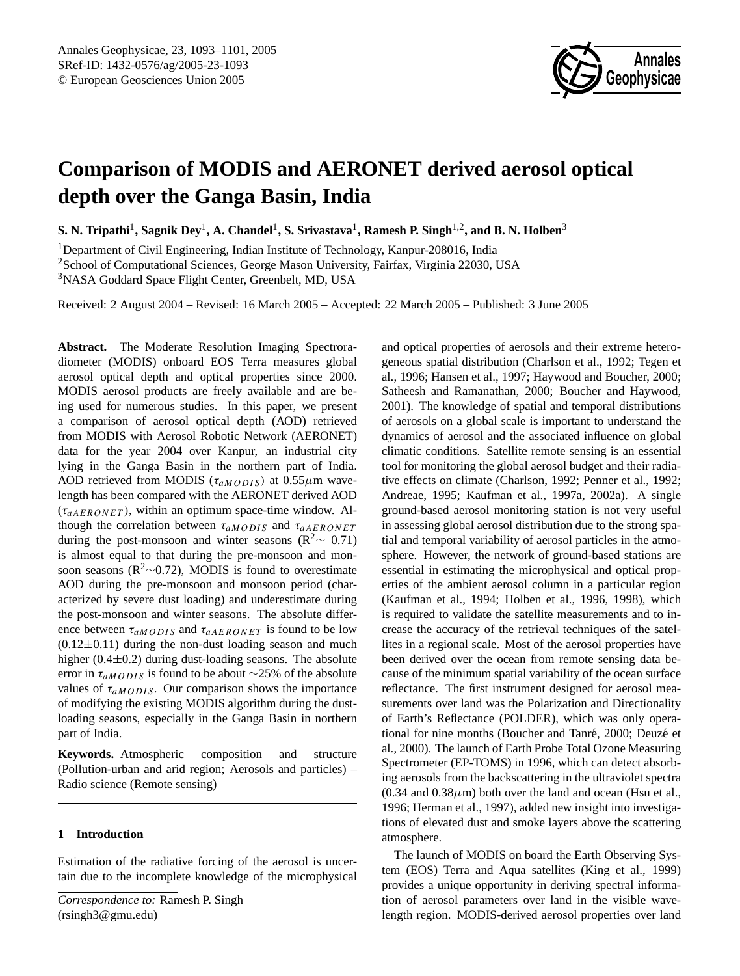

# **Comparison of MODIS and AERONET derived aerosol optical depth over the Ganga Basin, India**

 ${\bf S.}$  N. Tripathi<sup>1</sup>, Sagnik Dey<sup>1</sup>, A. Chandel<sup>1</sup>, S. Srivastava<sup>1</sup>, Ramesh P. Singh<sup>1,2</sup>, and B. N. Holben<sup>3</sup>

<sup>1</sup>Department of Civil Engineering, Indian Institute of Technology, Kanpur-208016, India <sup>2</sup>School of Computational Sciences, George Mason University, Fairfax, Virginia 22030, USA <sup>3</sup>NASA Goddard Space Flight Center, Greenbelt, MD, USA

Received: 2 August 2004 – Revised: 16 March 2005 – Accepted: 22 March 2005 – Published: 3 June 2005

**Abstract.** The Moderate Resolution Imaging Spectroradiometer (MODIS) onboard EOS Terra measures global aerosol optical depth and optical properties since 2000. MODIS aerosol products are freely available and are being used for numerous studies. In this paper, we present a comparison of aerosol optical depth (AOD) retrieved from MODIS with Aerosol Robotic Network (AERONET) data for the year 2004 over Kanpur, an industrial city lying in the Ganga Basin in the northern part of India. AOD retrieved from MODIS ( $\tau_{aMODIS}$ ) at 0.55 $\mu$ m wavelength has been compared with the AERONET derived AOD  $(\tau_{aAERONET})$ , within an optimum space-time window. Although the correlation between  $\tau_{aMODIS}$  and  $\tau_{aAERONET}$ during the post-monsoon and winter seasons ( $\mathbb{R}^2$  ∼ 0.71) is almost equal to that during the pre-monsoon and monsoon seasons ( $\mathbb{R}^2$ ∼0.72), MODIS is found to overestimate AOD during the pre-monsoon and monsoon period (characterized by severe dust loading) and underestimate during the post-monsoon and winter seasons. The absolute difference between  $\tau_{aMODIS}$  and  $\tau_{aAERONET}$  is found to be low  $(0.12\pm0.11)$  during the non-dust loading season and much higher  $(0.4\pm0.2)$  during dust-loading seasons. The absolute error in  $\tau_{aMODIS}$  is found to be about ∼25% of the absolute values of  $\tau_{aMODIS}$ . Our comparison shows the importance of modifying the existing MODIS algorithm during the dustloading seasons, especially in the Ganga Basin in northern part of India.

**Keywords.** Atmospheric composition and structure (Pollution-urban and arid region; Aerosols and particles) – Radio science (Remote sensing)

## **1 Introduction**

<span id="page-0-0"></span>Estimation of the radiative forcing of the aerosol is uncertain due to the incomplete knowledge of the microphysical and optical properties of aerosols and their extreme heterogeneous spatial distribution (Charlson et al., 1992; Tegen et al., 1996; Hansen et al., 1997; Haywood and Boucher, 2000; Satheesh and Ramanathan, 2000; Boucher and Haywood, 2001). The knowledge of spatial and temporal distributions of aerosols on a global scale is important to understand the dynamics of aerosol and the associated influence on global climatic conditions. Satellite remote sensing is an essential tool for monitoring the global aerosol budget and their radiative effects on climate (Charlson, 1992; Penner et al., 1992; Andreae, 1995; Kaufman et al., 1997a, 2002a). A single ground-based aerosol monitoring station is not very useful in assessing global aerosol distribution due to the strong spatial and temporal variability of aerosol particles in the atmosphere. However, the network of ground-based stations are essential in estimating the microphysical and optical properties of the ambient aerosol column in a particular region (Kaufman et al., 1994; Holben et al., 1996, 1998), which is required to validate the satellite measurements and to increase the accuracy of the retrieval techniques of the satellites in a regional scale. Most of the aerosol properties have been derived over the ocean from remote sensing data because of the minimum spatial variability of the ocean surface reflectance. The first instrument designed for aerosol measurements over land was the Polarization and Directionality of Earth's Reflectance (POLDER), which was only operational for nine months (Boucher and Tanré, 2000; Deuzé et al., 2000). The launch of Earth Probe Total Ozone Measuring Spectrometer (EP-TOMS) in 1996, which can detect absorbing aerosols from the backscattering in the ultraviolet spectra  $(0.34$  and  $0.38\mu$ m) both over the land and ocean (Hsu et al., 1996; Herman et al., 1997), added new insight into investigations of elevated dust and smoke layers above the scattering atmosphere.

The launch of MODIS on board the Earth Observing System (EOS) Terra and Aqua satellites (King et al., 1999) provides a unique opportunity in deriving spectral information of aerosol parameters over land in the visible wavelength region. MODIS-derived aerosol properties over land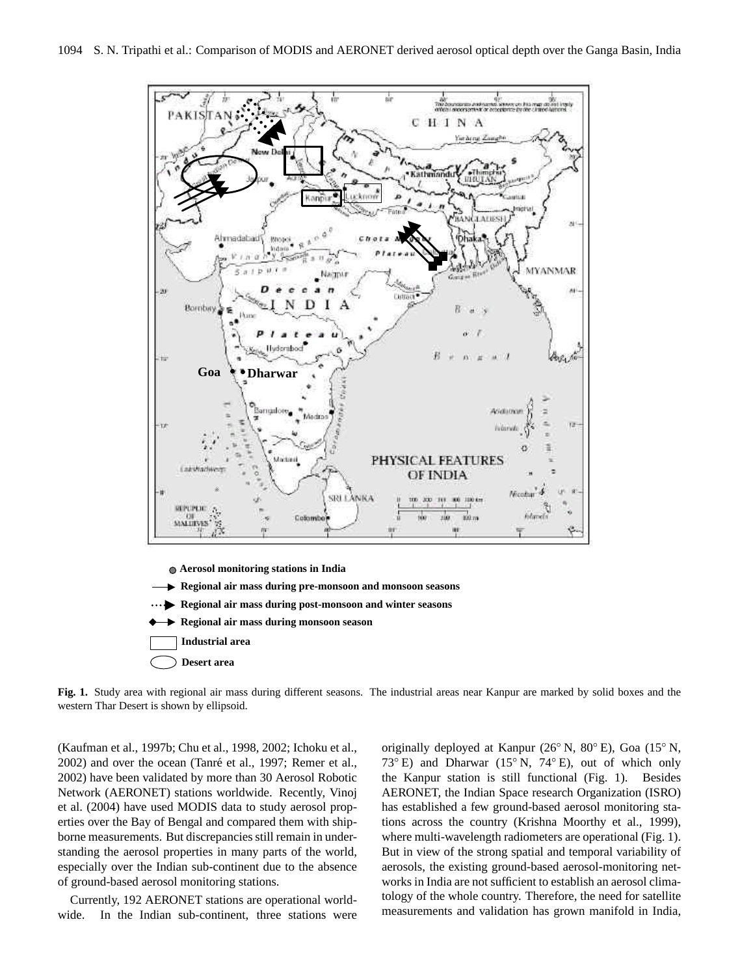

**Fig. 1.** Study area with regional air mass during different seasons. The industrial areas near Kanpur are marked by solid boxes and the western Thar Desert is shown by ellipsoid.

**Desert area** (Kaufman et al., 1997b; Chu et al., 1998, 2002; Ichoku et al., 18 2002) have been validated by more than 30 Aerosol Robotic 2002) and over the ocean (Tanré et al., 1997; Remer et al., Network (AERONET) stations worldwide. Recently, Vinoj et al. (2004) have used MODIS data to study aerosol properties over the Bay of Bengal and compared them with shipborne measurements. But discrepancies still remain in understanding the aerosol properties in many parts of the world, especially over the Indian sub-continent due to the absence of ground-based aerosol monitoring stations.

Currently, 192 AERONET stations are operational worldwide. In the Indian sub-continent, three stations were tology of the whole country. Therefore, the need for satellite originally deployed at Kanpur (26◦ N, 80◦ E), Goa (15◦ N, 73◦ E) and Dharwar (15◦ N, 74◦ E), out of which only the Kanpur station is still functional (Fig. 1). Besides AERONET, the Indian Space research Organization (ISRO) has established a few ground-based aerosol monitoring stations across the country (Krishna Moorthy et al., 1999), where multi-wavelength radiometers are operational (Fig. 1). But in view of the strong spatial and temporal variability of aerosols, the existing ground-based aerosol-monitoring networks in India are not sufficient to establish an aerosol climameasurements and validation has grown manifold in India,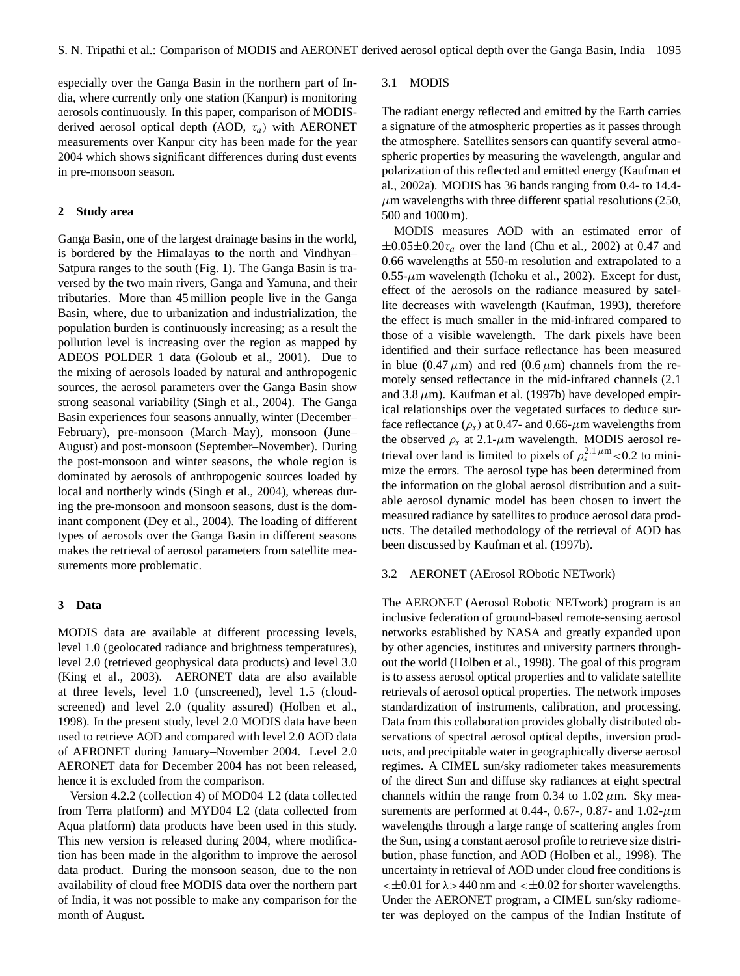especially over the Ganga Basin in the northern part of India, where currently only one station (Kanpur) is monitoring aerosols continuously. In this paper, comparison of MODISderived aerosol optical depth (AOD,  $\tau_a$ ) with AERONET measurements over Kanpur city has been made for the year 2004 which shows significant differences during dust events in pre-monsoon season.

## **2 Study area**

Ganga Basin, one of the largest drainage basins in the world, is bordered by the Himalayas to the north and Vindhyan– Satpura ranges to the south (Fig. 1). The Ganga Basin is traversed by the two main rivers, Ganga and Yamuna, and their tributaries. More than 45 million people live in the Ganga Basin, where, due to urbanization and industrialization, the population burden is continuously increasing; as a result the pollution level is increasing over the region as mapped by ADEOS POLDER 1 data (Goloub et al., 2001). Due to the mixing of aerosols loaded by natural and anthropogenic sources, the aerosol parameters over the Ganga Basin show strong seasonal variability (Singh et al., 2004). The Ganga Basin experiences four seasons annually, winter (December– February), pre-monsoon (March–May), monsoon (June– August) and post-monsoon (September–November). During the post-monsoon and winter seasons, the whole region is dominated by aerosols of anthropogenic sources loaded by local and northerly winds (Singh et al., 2004), whereas during the pre-monsoon and monsoon seasons, dust is the dominant component (Dey et al., 2004). The loading of different types of aerosols over the Ganga Basin in different seasons makes the retrieval of aerosol parameters from satellite measurements more problematic.

### **3 Data**

MODIS data are available at different processing levels, level 1.0 (geolocated radiance and brightness temperatures), level 2.0 (retrieved geophysical data products) and level 3.0 (King et al., 2003). AERONET data are also available at three levels, level 1.0 (unscreened), level 1.5 (cloudscreened) and level 2.0 (quality assured) (Holben et al., 1998). In the present study, level 2.0 MODIS data have been used to retrieve AOD and compared with level 2.0 AOD data of AERONET during January–November 2004. Level 2.0 AERONET data for December 2004 has not been released, hence it is excluded from the comparison.

Version 4.2.2 (collection 4) of MOD04 L2 (data collected from Terra platform) and MYD04 L2 (data collected from Aqua platform) data products have been used in this study. This new version is released during 2004, where modification has been made in the algorithm to improve the aerosol data product. During the monsoon season, due to the non availability of cloud free MODIS data over the northern part of India, it was not possible to make any comparison for the month of August.

#### 3.1 MODIS

The radiant energy reflected and emitted by the Earth carries a signature of the atmospheric properties as it passes through the atmosphere. Satellites sensors can quantify several atmospheric properties by measuring the wavelength, angular and polarization of this reflected and emitted energy (Kaufman et al., 2002a). MODIS has 36 bands ranging from 0.4- to 14.4-  $\mu$ m wavelengths with three different spatial resolutions (250, 500 and 1000 m).

MODIS measures AOD with an estimated error of  $\pm 0.05 \pm 0.20 \tau_a$  over the land (Chu et al., 2002) at 0.47 and 0.66 wavelengths at 550-m resolution and extrapolated to a  $0.55$ - $\mu$ m wavelength (Ichoku et al., 2002). Except for dust, effect of the aerosols on the radiance measured by satellite decreases with wavelength (Kaufman, 1993), therefore the effect is much smaller in the mid-infrared compared to those of a visible wavelength. The dark pixels have been identified and their surface reflectance has been measured in blue (0.47  $\mu$ m) and red (0.6  $\mu$ m) channels from the remotely sensed reflectance in the mid-infrared channels (2.1 and 3.8  $\mu$ m). Kaufman et al. (1997b) have developed empirical relationships over the vegetated surfaces to deduce surface reflectance ( $\rho_s$ ) at 0.47- and 0.66- $\mu$ m wavelengths from the observed  $\rho_s$  at 2.1- $\mu$ m wavelength. MODIS aerosol retrieval over land is limited to pixels of  $\rho_s^{2.1 \mu m}$  <0.2 to minimize the errors. The aerosol type has been determined from the information on the global aerosol distribution and a suitable aerosol dynamic model has been chosen to invert the measured radiance by satellites to produce aerosol data products. The detailed methodology of the retrieval of AOD has been discussed by Kaufman et al. (1997b).

#### 3.2 AERONET (AErosol RObotic NETwork)

The AERONET (Aerosol Robotic NETwork) program is an inclusive federation of ground-based remote-sensing aerosol networks established by NASA and greatly expanded upon by other agencies, institutes and university partners throughout the world (Holben et al., 1998). The goal of this program is to assess aerosol optical properties and to validate satellite retrievals of aerosol optical properties. The network imposes standardization of instruments, calibration, and processing. Data from this collaboration provides globally distributed observations of spectral aerosol optical depths, inversion products, and precipitable water in geographically diverse aerosol regimes. A CIMEL sun/sky radiometer takes measurements of the direct Sun and diffuse sky radiances at eight spectral channels within the range from 0.34 to 1.02  $\mu$ m. Sky measurements are performed at 0.44-, 0.67-, 0.87- and 1.02- $\mu$ m wavelengths through a large range of scattering angles from the Sun, using a constant aerosol profile to retrieve size distribution, phase function, and AOD (Holben et al., 1998). The uncertainty in retrieval of AOD under cloud free conditions is  $\lt$  ±0.01 for  $\lambda$  >440 nm and  $\lt$  ±0.02 for shorter wavelengths. Under the AERONET program, a CIMEL sun/sky radiometer was deployed on the campus of the Indian Institute of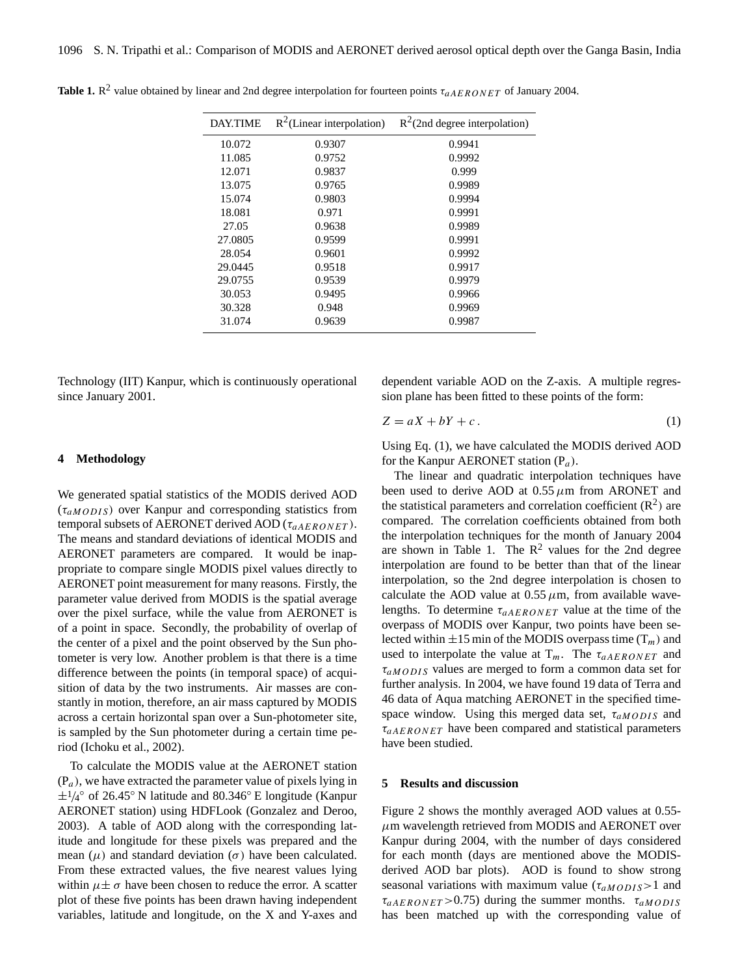| <b>DAY.TIME</b> | $R^2$ (Linear interpolation) | $R^2$ (2nd degree interpolation) |
|-----------------|------------------------------|----------------------------------|
| 10.072          | 0.9307                       | 0.9941                           |
| 11.085          | 0.9752                       | 0.9992                           |
| 12.071          | 0.9837                       | 0.999                            |
| 13.075          | 0.9765                       | 0.9989                           |
| 15.074          | 0.9803                       | 0.9994                           |
| 18.081          | 0.971                        | 0.9991                           |
| 27.05           | 0.9638                       | 0.9989                           |
| 27.0805         | 0.9599                       | 0.9991                           |
| 28.054          | 0.9601                       | 0.9992                           |
| 29.0445         | 0.9518                       | 0.9917                           |
| 29.0755         | 0.9539                       | 0.9979                           |
| 30.053          | 0.9495                       | 0.9966                           |
| 30.328          | 0.948                        | 0.9969                           |
| 31.074          | 0.9639                       | 0.9987                           |
|                 |                              |                                  |

**Table 1.**  $R^2$  value obtained by linear and 2nd degree interpolation for fourteen points  $\tau_{aAERONET}$  of January 2004.

Technology (IIT) Kanpur, which is continuously operational since January 2001.

dependent variable AOD on the Z-axis. A multiple regression plane has been fitted to these points of the form:

$$
Z = aX + bY + c. \tag{1}
$$

## **4 Methodology**

We generated spatial statistics of the MODIS derived AOD  $(\tau_{aMODIS})$  over Kanpur and corresponding statistics from temporal subsets of AERONET derived AOD ( $\tau_{aAERONET}$ ). The means and standard deviations of identical MODIS and AERONET parameters are compared. It would be inappropriate to compare single MODIS pixel values directly to AERONET point measurement for many reasons. Firstly, the parameter value derived from MODIS is the spatial average over the pixel surface, while the value from AERONET is of a point in space. Secondly, the probability of overlap of the center of a pixel and the point observed by the Sun photometer is very low. Another problem is that there is a time difference between the points (in temporal space) of acquisition of data by the two instruments. Air masses are constantly in motion, therefore, an air mass captured by MODIS across a certain horizontal span over a Sun-photometer site, is sampled by the Sun photometer during a certain time period (Ichoku et al., 2002).

To calculate the MODIS value at the AERONET station  $(P_a)$ , we have extracted the parameter value of pixels lying in  $\pm 1/4^{\circ}$  of 26.45° N latitude and 80.346° E longitude (Kanpur AERONET station) using HDFLook (Gonzalez and Deroo, 2003). A table of AOD along with the corresponding latitude and longitude for these pixels was prepared and the mean  $(\mu)$  and standard deviation  $(\sigma)$  have been calculated. From these extracted values, the five nearest values lying within  $\mu \pm \sigma$  have been chosen to reduce the error. A scatter plot of these five points has been drawn having independent variables, latitude and longitude, on the X and Y-axes and Using Eq. (1), we have calculated the MODIS derived AOD for the Kanpur AERONET station  $(P_a)$ .

The linear and quadratic interpolation techniques have been used to derive AOD at  $0.55 \mu m$  from ARONET and the statistical parameters and correlation coefficient  $(R^2)$  are compared. The correlation coefficients obtained from both the interpolation techniques for the month of January 2004 are shown in Table 1. The  $\mathbb{R}^2$  values for the 2nd degree interpolation are found to be better than that of the linear interpolation, so the 2nd degree interpolation is chosen to calculate the AOD value at  $0.55 \mu m$ , from available wavelengths. To determine  $\tau_{aAERONET}$  value at the time of the overpass of MODIS over Kanpur, two points have been selected within  $\pm 15$  min of the MODIS overpass time  $(T_m)$  and used to interpolate the value at  $T_m$ . The  $\tau_{aAERONET}$  and  $\tau_{aMODIS}$  values are merged to form a common data set for further analysis. In 2004, we have found 19 data of Terra and 46 data of Aqua matching AERONET in the specified timespace window. Using this merged data set,  $\tau_{aMODIS}$  and  $\tau_{aAERONET}$  have been compared and statistical parameters have been studied.

## **5 Results and discussion**

Figure 2 shows the monthly averaged AOD values at 0.55-  $\mu$ m wavelength retrieved from MODIS and AERONET over Kanpur during 2004, with the number of days considered for each month (days are mentioned above the MODISderived AOD bar plots). AOD is found to show strong seasonal variations with maximum value  $(\tau_{aMODIS} > 1$  and  $\tau_{aAERONET} > 0.75$ ) during the summer months.  $\tau_{aMODIS}$ has been matched up with the corresponding value of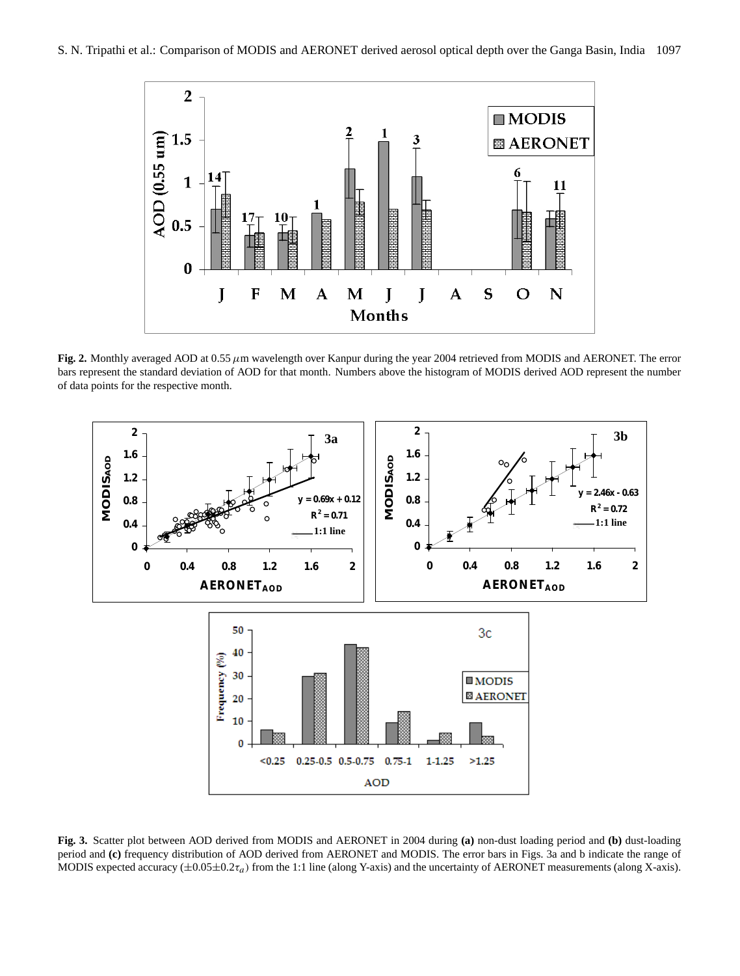

**Fig. 2.** Monthly averaged AOD at  $0.55 \mu m$  wavelength over Kanpur during the year 2004 retrieved from MODIS and AERONET. The error bars represent the standard deviation of AOD for that month. Numbers above the histogram of MODIS derived AOD represent the number of data points for the respective month.



**Fig. 3.** Scatter plot between AOD derived from MODIS and AERONET in 2004 during **(a)** non-dust loading period and **(b)** dust-loading period and **(c)** frequency distribution of AOD derived from AERONET and MODIS. The error bars in Figs. 3a and b indicate the range of MODIS expected accuracy  $(\pm 0.05\pm 0.2\tau_a)$  from the 1:1 line (along Y-axis) and the uncertainty of AERONET measurements (along X-axis).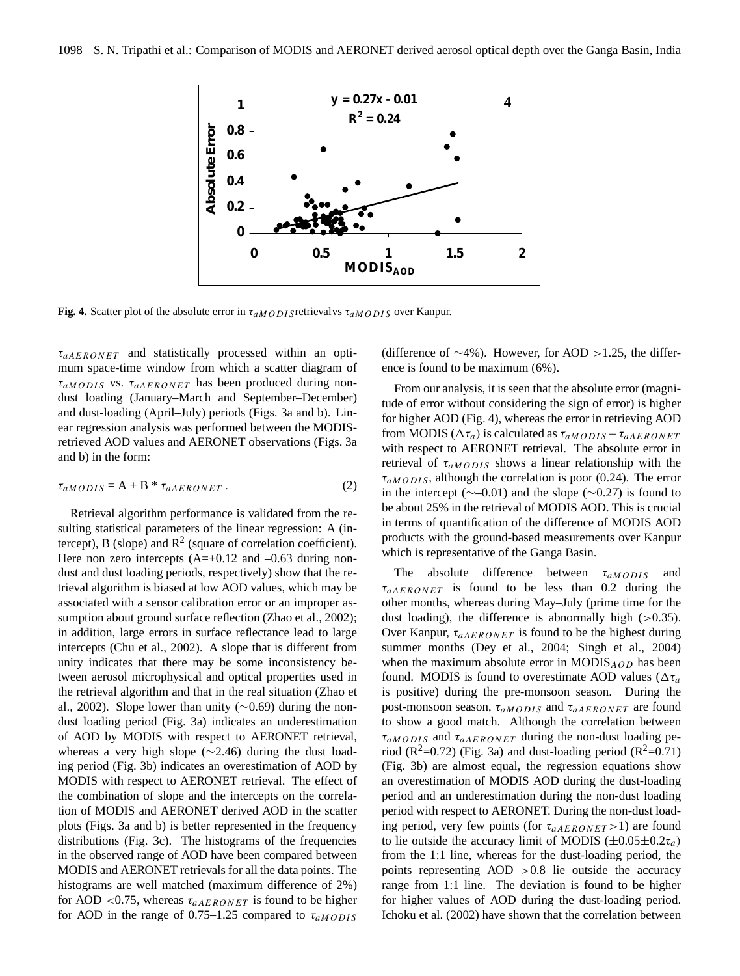

**Fig. 4.** Scatter plot of the absolute error in  $\tau_{aMODIS}$  retrievalvs  $\tau_{aMODIS}$  over Kanpur.

 $\tau_{aAERONET}$  and statistically processed within an optimum space-time window from which a scatter diagram of  $\tau_{aMODIS}$  vs.  $\tau_{aAERONET}$  has been produced during nondust loading (January–March and September–December) and dust-loading (April–July) periods (Figs. 3a and b). Linear regression analysis was performed between the MODISretrieved AOD values and AERONET observations (Figs. 3a and b) in the form:

$$
\tau_{aMODIS} = A + B * \tau_{aAERONET} . \tag{2}
$$

**Figure 5** the retrieval algorithm and that in the real situation (Zhao et Retrieval algorithm performance is validated from the resulting statistical parameters of the linear regression: A (intercept), B (slope) and  $\mathbb{R}^2$  (square of correlation coefficient). Here non zero intercepts  $(A=+0.12$  and  $-0.63$  during nondust and dust loading periods, respectively) show that the retrieval algorithm is biased at low AOD values, which may be associated with a sensor calibration error or an improper assumption about ground surface reflection (Zhao et al., 2002); in addition, large errors in surface reflectance lead to large intercepts (Chu et al., 2002). A slope that is different from unity indicates that there may be some inconsistency between aerosol microphysical and optical properties used in al., 2002). Slope lower than unity (∼0.69) during the nondust loading period (Fig. 3a) indicates an underestimation of AOD by MODIS with respect to AERONET retrieval, whereas a very high slope (∼2.46) during the dust loading period (Fig. 3b) indicates an overestimation of AOD by MODIS with respect to AERONET retrieval. The effect of the combination of slope and the intercepts on the correlation of MODIS and AERONET derived AOD in the scatter plots (Figs. 3a and b) is better represented in the frequency distributions (Fig. 3c). The histograms of the frequencies in the observed range of AOD have been compared between MODIS and AERONET retrievals for all the data points. The histograms are well matched (maximum difference of 2%) for AOD <0.75, whereas  $\tau_{aAFRONET}$  is found to be higher for AOD in the range of 0.75–1.25 compared to  $\tau_{aMODIS}$  ence is found to be maximum (6%). (difference of  $\sim$ 4%). However, for AOD >1.25, the differ-

From our analysis, it is seen that the absolute error (magnitude of error without considering the sign of error) is higher for higher AOD (Fig. 4), whereas the error in retrieving AOD from MODIS ( $\Delta \tau_a$ ) is calculated as  $\tau_a$ MODIS  $-\tau_a$ AERONET with respect to AERONET retrieval. The absolute error in retrieval of  $\tau_{aMODIS}$  shows a linear relationship with the  $\tau_{aMODIS}$ , although the correlation is poor (0.24). The error in the intercept ( $\sim$ –0.01) and the slope ( $\sim$ 0.27) is found to be about 25% in the retrieval of MODIS AOD. This is crucial in terms of quantification of the difference of MODIS AOD products with the ground-based measurements over Kanpur which is representative of the Ganga Basin.

The absolute difference between  $\tau_{aMODIS}$  and  $\tau_{aAFRONET}$  is found to be less than 0.2 during the other months, whereas during May–July (prime time for the dust loading), the difference is abnormally high  $(>0.35)$ . Over Kanpur,  $\tau_{aAERONET}$  is found to be the highest during summer months (Dey et al., 2004; Singh et al., 2004) when the maximum absolute error in  $MODIS_{AOD}$  has been found. MODIS is found to overestimate AOD values ( $\Delta \tau_a$ is positive) during the pre-monsoon season. During the post-monsoon season,  $\tau_{aMODIS}$  and  $\tau_{aAERONET}$  are found to show a good match. Although the correlation between  $\tau_{aMODIS}$  and  $\tau_{aAERONET}$  during the non-dust loading period ( $\mathbb{R}^2$ =0.72) (Fig. 3a) and dust-loading period ( $\mathbb{R}^2$ =0.71) (Fig. 3b) are almost equal, the regression equations show an overestimation of MODIS AOD during the dust-loading period and an underestimation during the non-dust loading period with respect to AERONET. During the non-dust loading period, very few points (for  $\tau_{aAERONET} > 1$ ) are found to lie outside the accuracy limit of MODIS  $(\pm 0.05 \pm 0.2\tau_a)$ from the 1:1 line, whereas for the dust-loading period, the points representing  $AOD > 0.8$  lie outside the accuracy range from 1:1 line. The deviation is found to be higher for higher values of AOD during the dust-loading period. Ichoku et al. (2002) have shown that the correlation between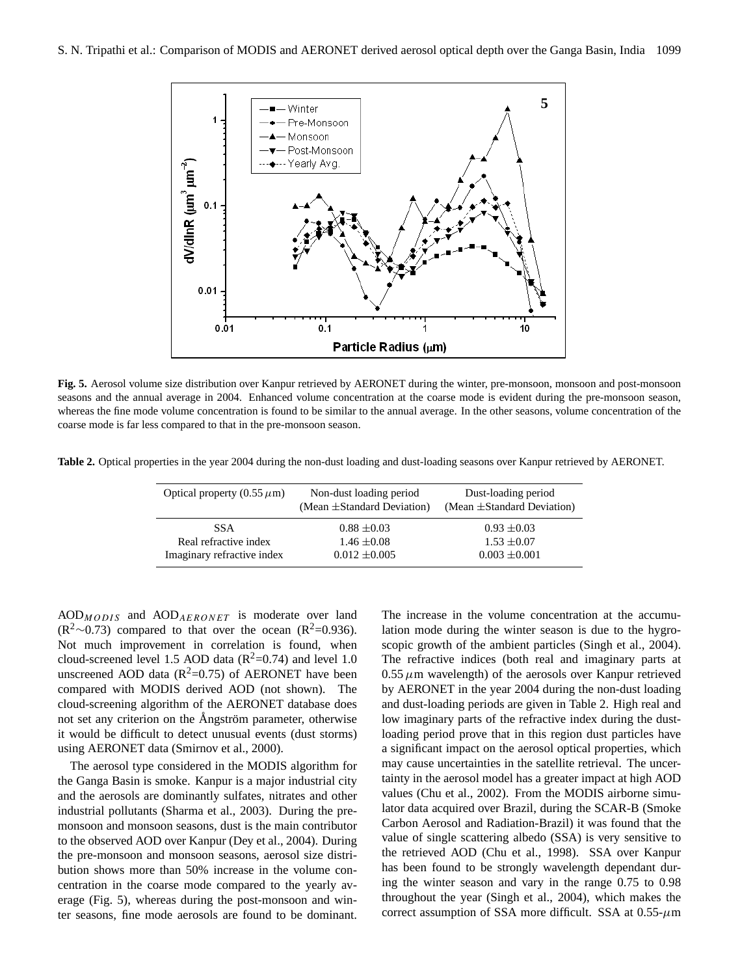

**Figure 5** coarse mode is far less compared to that in the pre-monsoon season. **Fig. 5.** Aerosol volume size distribution over Kanpur retrieved by AERONET during the winter, pre-monsoon, monsoon and post-monsoon seasons and the annual average in 2004. Enhanced volume concentration at the coarse mode is evident during the pre-monsoon season, whereas the fine mode volume concentration is found to be similar to the annual average. In the other seasons, volume concentration of the

**Table 2.** Optical properties in the year 2004 during the non-dust loading and dust-loading seasons over Kanpur retrieved by AERONET.

| Optical property $(0.55 \mu m)$ | Non-dust loading period<br>(Mean $\pm$ Standard Deviation) | Dust-loading period<br>(Mean $\pm$ Standard Deviation) |
|---------------------------------|------------------------------------------------------------|--------------------------------------------------------|
| <b>SSA</b>                      | $0.88 \pm 0.03$                                            | $0.93 \pm 0.03$                                        |
| Real refractive index           | $1.46 \pm 0.08$                                            | $1.53 \pm 0.07$                                        |
| Imaginary refractive index      | $0.012 \pm 0.005$                                          | $0.003 \pm 0.001$                                      |

 $AOD<sub>MODIS</sub>$  and  $AOD<sub>AERONET</sub>$  is moderate over land  $(R^2~0.73)$  compared to that over the ocean  $(R^2=0.936)$ . Not much improvement in correlation is found, when cloud-screened level 1.5 AOD data ( $R^2$ =0.74) and level 1.0 unscreened AOD data ( $R^2$ =0.75) of AERONET have been compared with MODIS derived AOD (not shown). The cloud-screening algorithm of the AERONET database does not set any criterion on the Angström parameter, otherwise it would be difficult to detect unusual events (dust storms) using AERONET data (Smirnov et al., 2000).

The aerosol type considered in the MODIS algorithm for the Ganga Basin is smoke. Kanpur is a major industrial city and the aerosols are dominantly sulfates, nitrates and other industrial pollutants (Sharma et al., 2003). During the premonsoon and monsoon seasons, dust is the main contributor to the observed AOD over Kanpur (Dey et al., 2004). During the pre-monsoon and monsoon seasons, aerosol size distribution shows more than 50% increase in the volume concentration in the coarse mode compared to the yearly average (Fig. 5), whereas during the post-monsoon and winter seasons, fine mode aerosols are found to be dominant. The increase in the volume concentration at the accumulation mode during the winter season is due to the hygroscopic growth of the ambient particles (Singh et al., 2004). The refractive indices (both real and imaginary parts at  $0.55 \mu$ m wavelength) of the aerosols over Kanpur retrieved by AERONET in the year 2004 during the non-dust loading and dust-loading periods are given in Table 2. High real and low imaginary parts of the refractive index during the dustloading period prove that in this region dust particles have a significant impact on the aerosol optical properties, which may cause uncertainties in the satellite retrieval. The uncertainty in the aerosol model has a greater impact at high AOD values (Chu et al., 2002). From the MODIS airborne simulator data acquired over Brazil, during the SCAR-B (Smoke Carbon Aerosol and Radiation-Brazil) it was found that the value of single scattering albedo (SSA) is very sensitive to the retrieved AOD (Chu et al., 1998). SSA over Kanpur has been found to be strongly wavelength dependant during the winter season and vary in the range 0.75 to 0.98 throughout the year (Singh et al., 2004), which makes the correct assumption of SSA more difficult. SSA at  $0.55$ - $\mu$ m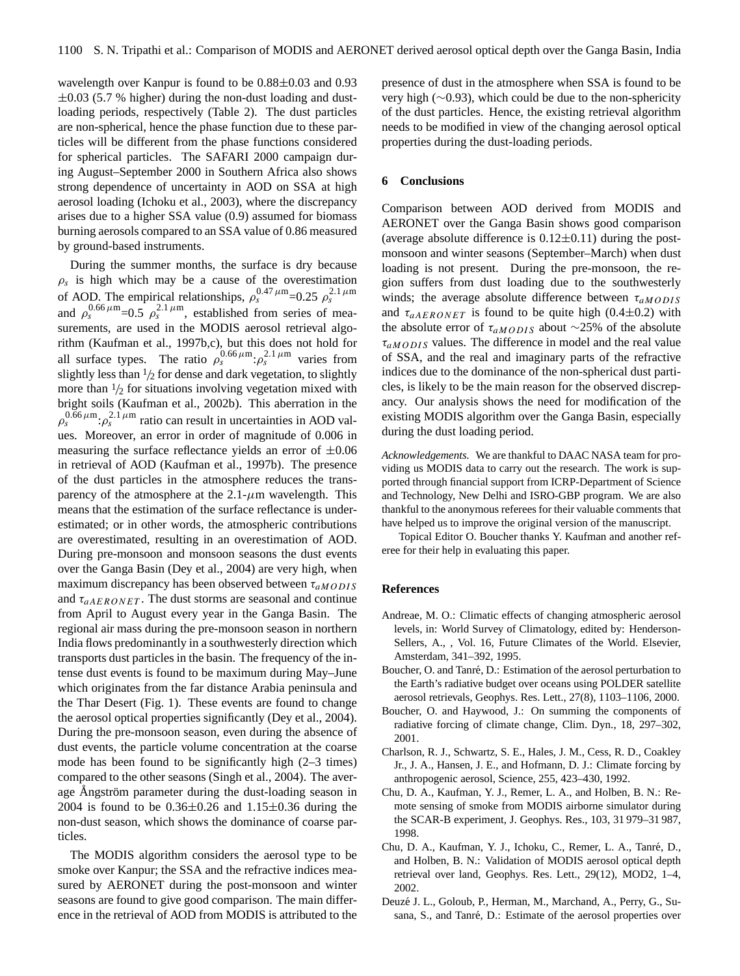wavelength over Kanpur is found to be 0.88±0.03 and 0.93  $\pm 0.03$  (5.7 % higher) during the non-dust loading and dustloading periods, respectively (Table 2). The dust particles are non-spherical, hence the phase function due to these particles will be different from the phase functions considered for spherical particles. The SAFARI 2000 campaign during August–September 2000 in Southern Africa also shows strong dependence of uncertainty in AOD on SSA at high aerosol loading (Ichoku et al., 2003), where the discrepancy arises due to a higher SSA value (0.9) assumed for biomass burning aerosols compared to an SSA value of 0.86 measured by ground-based instruments.

During the summer months, the surface is dry because  $\rho_s$  is high which may be a cause of the overestimation of AOD. The empirical relationships,  $\rho_s^{0.47 \mu \text{m}} = 0.25 \rho_s^{2.1 \mu \text{m}}$ and  $\rho_s^{0.66 \mu \text{m}} = 0.5 \rho_s^{2.1 \mu \text{m}}$ , established from series of measurements, are used in the MODIS aerosol retrieval algorithm (Kaufman et al., 1997b,c), but this does not hold for all surface types. The ratio  $\rho_s^{0.66 \mu m}$ : $\rho_s^{2.1 \mu m}$  varies from slightly less than  $\frac{1}{2}$  for dense and dark vegetation, to slightly more than  $\frac{1}{2}$  for situations involving vegetation mixed with bright soils (Kaufman et al., 2002b). This aberration in the  $\rho_s^{0.66 \mu \text{m}}$ : $\rho_s^{2.1 \mu \text{m}}$  ratio can result in uncertainties in AOD values. Moreover, an error in order of magnitude of 0.006 in measuring the surface reflectance yields an error of  $\pm 0.06$ in retrieval of AOD (Kaufman et al., 1997b). The presence of the dust particles in the atmosphere reduces the transparency of the atmosphere at the  $2.1-\mu m$  wavelength. This means that the estimation of the surface reflectance is underestimated; or in other words, the atmospheric contributions are overestimated, resulting in an overestimation of AOD. During pre-monsoon and monsoon seasons the dust events over the Ganga Basin (Dey et al., 2004) are very high, when maximum discrepancy has been observed between  $\tau_{aMODIS}$ and  $\tau_{aAERONET}$ . The dust storms are seasonal and continue from April to August every year in the Ganga Basin. The regional air mass during the pre-monsoon season in northern India flows predominantly in a southwesterly direction which transports dust particles in the basin. The frequency of the intense dust events is found to be maximum during May–June which originates from the far distance Arabia peninsula and the Thar Desert (Fig. 1). These events are found to change the aerosol optical properties significantly (Dey et al., 2004). During the pre-monsoon season, even during the absence of dust events, the particle volume concentration at the coarse mode has been found to be significantly high (2–3 times) compared to the other seasons (Singh et al., 2004). The average Ångström parameter during the dust-loading season in 2004 is found to be  $0.36 \pm 0.26$  and  $1.15 \pm 0.36$  during the non-dust season, which shows the dominance of coarse particles.

The MODIS algorithm considers the aerosol type to be smoke over Kanpur; the SSA and the refractive indices measured by AERONET during the post-monsoon and winter seasons are found to give good comparison. The main difference in the retrieval of AOD from MODIS is attributed to the presence of dust in the atmosphere when SSA is found to be very high (∼0.93), which could be due to the non-sphericity of the dust particles. Hence, the existing retrieval algorithm needs to be modified in view of the changing aerosol optical properties during the dust-loading periods.

#### **6 Conclusions**

Comparison between AOD derived from MODIS and AERONET over the Ganga Basin shows good comparison (average absolute difference is  $0.12\pm0.11$ ) during the postmonsoon and winter seasons (September–March) when dust loading is not present. During the pre-monsoon, the region suffers from dust loading due to the southwesterly winds; the average absolute difference between  $\tau_{aMODIS}$ and  $\tau_{aAERONET}$  is found to be quite high (0.4 $\pm$ 0.2) with the absolute error of  $\tau_{aMODIS}$  about ∼25% of the absolute  $\tau_{aMODIS}$  values. The difference in model and the real value of SSA, and the real and imaginary parts of the refractive indices due to the dominance of the non-spherical dust particles, is likely to be the main reason for the observed discrepancy. Our analysis shows the need for modification of the existing MODIS algorithm over the Ganga Basin, especially during the dust loading period.

*Acknowledgements.* We are thankful to DAAC NASA team for providing us MODIS data to carry out the research. The work is supported through financial support from ICRP-Department of Science and Technology, New Delhi and ISRO-GBP program. We are also thankful to the anonymous referees for their valuable comments that have helped us to improve the original version of the manuscript.

Topical Editor O. Boucher thanks Y. Kaufman and another referee for their help in evaluating this paper.

## **References**

- Andreae, M. O.: Climatic effects of changing atmospheric aerosol levels, in: World Survey of Climatology, edited by: Henderson-Sellers, A., , Vol. 16, Future Climates of the World. Elsevier, Amsterdam, 341–392, 1995.
- Boucher, O. and Tanré, D.: Estimation of the aerosol perturbation to the Earth's radiative budget over oceans using POLDER satellite aerosol retrievals, Geophys. Res. Lett., 27(8), 1103–1106, 2000.
- Boucher, O. and Haywood, J.: On summing the components of radiative forcing of climate change, Clim. Dyn., 18, 297–302, 2001.
- Charlson, R. J., Schwartz, S. E., Hales, J. M., Cess, R. D., Coakley Jr., J. A., Hansen, J. E., and Hofmann, D. J.: Climate forcing by anthropogenic aerosol, Science, 255, 423–430, 1992.
- Chu, D. A., Kaufman, Y. J., Remer, L. A., and Holben, B. N.: Remote sensing of smoke from MODIS airborne simulator during the SCAR-B experiment, J. Geophys. Res., 103, 31 979–31 987, 1998.
- Chu, D. A., Kaufman, Y. J., Ichoku, C., Remer, L. A., Tanre, D., ´ and Holben, B. N.: Validation of MODIS aerosol optical depth retrieval over land, Geophys. Res. Lett., 29(12), MOD2, 1–4, 2002.
- Deuze J. L., Goloub, P., Herman, M., Marchand, A., Perry, G., Su- ´ sana, S., and Tanré, D.: Estimate of the aerosol properties over